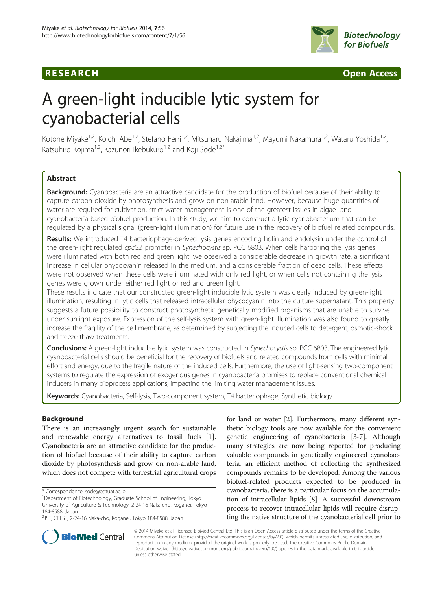

R E S EAR CH Open Access

# A green-light inducible lytic system for cyanobacterial cells

Kotone Miyake<sup>1,2</sup>, Koichi Abe<sup>1,2</sup>, Stefano Ferri<sup>1,2</sup>, Mitsuharu Nakajima<sup>1,2</sup>, Mayumi Nakamura<sup>1,2</sup>, Wataru Yoshida<sup>1,2</sup>, Katsuhiro Kojima<sup>1,2</sup>, Kazunori Ikebukuro<sup>1,2</sup> and Koji Sode<sup>1,2\*</sup>

# **Abstract**

Background: Cyanobacteria are an attractive candidate for the production of biofuel because of their ability to capture carbon dioxide by photosynthesis and grow on non-arable land. However, because huge quantities of water are required for cultivation, strict water management is one of the greatest issues in algae- and cyanobacteria-based biofuel production. In this study, we aim to construct a lytic cyanobacterium that can be regulated by a physical signal (green-light illumination) for future use in the recovery of biofuel related compounds.

Results: We introduced T4 bacteriophage-derived lysis genes encoding holin and endolysin under the control of the green-light regulated cpcG2 promoter in Synechocystis sp. PCC 6803. When cells harboring the lysis genes were illuminated with both red and green light, we observed a considerable decrease in growth rate, a significant increase in cellular phycocyanin released in the medium, and a considerable fraction of dead cells. These effects were not observed when these cells were illuminated with only red light, or when cells not containing the lysis genes were grown under either red light or red and green light.

These results indicate that our constructed green-light inducible lytic system was clearly induced by green-light illumination, resulting in lytic cells that released intracellular phycocyanin into the culture supernatant. This property suggests a future possibility to construct photosynthetic genetically modified organisms that are unable to survive under sunlight exposure. Expression of the self-lysis system with green-light illumination was also found to greatly increase the fragility of the cell membrane, as determined by subjecting the induced cells to detergent, osmotic-shock, and freeze-thaw treatments.

Conclusions: A green-light inducible lytic system was constructed in Synechocystis sp. PCC 6803. The engineered lytic cyanobacterial cells should be beneficial for the recovery of biofuels and related compounds from cells with minimal effort and energy, due to the fragile nature of the induced cells. Furthermore, the use of light-sensing two-component systems to regulate the expression of exogenous genes in cyanobacteria promises to replace conventional chemical inducers in many bioprocess applications, impacting the limiting water management issues.

Keywords: Cyanobacteria, Self-lysis, Two-component system, T4 bacteriophage, Synthetic biology

# Background

There is an increasingly urgent search for sustainable and renewable energy alternatives to fossil fuels [\[1](#page-6-0)]. Cyanobacteria are an attractive candidate for the production of biofuel because of their ability to capture carbon dioxide by photosynthesis and grow on non-arable land, which does not compete with terrestrial agricultural crops

\* Correspondence: [sode@cc.tuat.ac.jp](mailto:sode@cc.tuat.ac.jp) <sup>1</sup>

for land or water [[2\]](#page-6-0). Furthermore, many different synthetic biology tools are now available for the convenient genetic engineering of cyanobacteria [\[3](#page-6-0)[-7](#page-7-0)]. Although many strategies are now being reported for producing valuable compounds in genetically engineered cyanobacteria, an efficient method of collecting the synthesized compounds remains to be developed. Among the various biofuel-related products expected to be produced in cyanobacteria, there is a particular focus on the accumulation of intracellular lipids [[8\]](#page-7-0). A successful downstream process to recover intracellular lipids will require disrupting the native structure of the cyanobacterial cell prior to



© 2014 Miyake et al.; licensee BioMed Central Ltd. This is an Open Access article distributed under the terms of the Creative Commons Attribution License [\(http://creativecommons.org/licenses/by/2.0\)](http://creativecommons.org/licenses/by/2.0), which permits unrestricted use, distribution, and reproduction in any medium, provided the original work is properly credited. The Creative Commons Public Domain Dedication waiver [\(http://creativecommons.org/publicdomain/zero/1.0/](http://creativecommons.org/publicdomain/zero/1.0/)) applies to the data made available in this article, unless otherwise stated.

Department of Biotechnology, Graduate School of Engineering, Tokyo University of Agriculture & Technology, 2-24-16 Naka-cho, Koganei, Tokyo 184-8588, Japan

<sup>2</sup> JST, CREST, 2-24-16 Naka-cho, Koganei, Tokyo 184-8588, Japan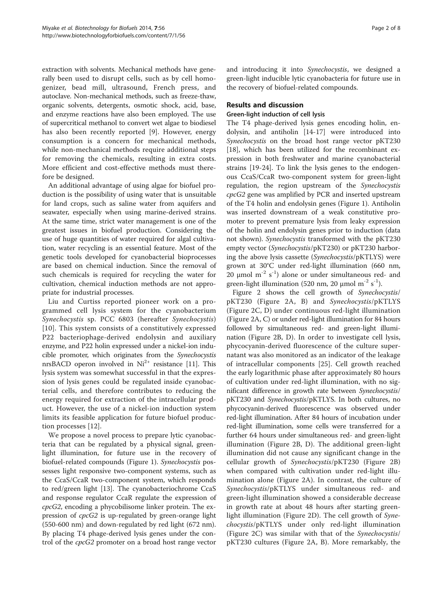extraction with solvents. Mechanical methods have generally been used to disrupt cells, such as by cell homogenizer, bead mill, ultrasound, French press, and autoclave. Non-mechanical methods, such as freeze-thaw, organic solvents, detergents, osmotic shock, acid, base, and enzyme reactions have also been employed. The use of supercritical methanol to convert wet algae to biodiesel has also been recently reported [[9\]](#page-7-0). However, energy consumption is a concern for mechanical methods, while non-mechanical methods require additional steps for removing the chemicals, resulting in extra costs. More efficient and cost-effective methods must therefore be designed.

An additional advantage of using algae for biofuel production is the possibility of using water that is unsuitable for land crops, such as saline water from aquifers and seawater, especially when using marine-derived strains. At the same time, strict water management is one of the greatest issues in biofuel production. Considering the use of huge quantities of water required for algal cultivation, water recycling is an essential feature. Most of the genetic tools developed for cyanobacterial bioprocesses are based on chemical induction. Since the removal of such chemicals is required for recycling the water for cultivation, chemical induction methods are not appropriate for industrial processes.

Liu and Curtiss reported pioneer work on a programmed cell lysis system for the cyanobacterium Synechocystis sp. PCC 6803 (hereafter Synechocystis) [[10](#page-7-0)]. This system consists of a constitutively expressed P22 bacteriophage-derived endolysin and auxiliary enzyme, and P22 holin expressed under a nickel-ion inducible promoter, which originates from the Synechocystis nrsBACD operon involved in  $Ni<sup>2+</sup>$  resistance [\[11\]](#page-7-0). This lysis system was somewhat successful in that the expression of lysis genes could be regulated inside cyanobacterial cells, and therefore contributes to reducing the energy required for extraction of the intracellular product. However, the use of a nickel-ion induction system limits its feasible application for future biofuel production processes [\[12](#page-7-0)].

We propose a novel process to prepare lytic cyanobacteria that can be regulated by a physical signal, greenlight illumination, for future use in the recovery of biofuel-related compounds (Figure [1\)](#page-2-0). Synechocystis possesses light responsive two-component systems, such as the CcaS/CcaR two-component system, which responds to red/green light [[13](#page-7-0)]. The cyanobacteriochrome CcaS and response regulator CcaR regulate the expression of cpcG2, encoding a phycobilisome linker protein. The expression of cpcG2 is up-regulated by green-orange light (550-600 nm) and down-regulated by red light (672 nm). By placing T4 phage-derived lysis genes under the control of the cpcG2 promoter on a broad host range vector

and introducing it into Synechocystis, we designed a green-light inducible lytic cyanobacteria for future use in the recovery of biofuel-related compounds.

# Results and discussion

#### Green-light induction of cell lysis

The T4 phage-derived lysis genes encoding holin, endolysin, and antiholin [\[14](#page-7-0)-[17\]](#page-7-0) were introduced into Synechocystis on the broad host range vector pKT230 [[18\]](#page-7-0), which has been utilized for the recombinant expression in both freshwater and marine cyanobacterial strains [[19-24\]](#page-7-0). To link the lysis genes to the endogenous CcaS/CcaR two-component system for green-light regulation, the region upstream of the Synechocystis cpcG2 gene was amplified by PCR and inserted upstream of the T4 holin and endolysin genes (Figure [1](#page-2-0)). Antiholin was inserted downstream of a weak constitutive promoter to prevent premature lysis from leaky expression of the holin and endolysin genes prior to induction (data not shown). Synechocystis transformed with the pKT230 empty vector (Synechocystis/pKT230) or pKT230 harboring the above lysis cassette (Synechocystis/pKTLYS) were grown at 30°C under red-light illumination (660 nm,  $20 \mu$ mol m<sup>-2</sup> s<sup>-1</sup>) alone or under simultaneous red- and green-light illumination (520 nm, 20 µmol m<sup>-2</sup> s<sup>-1</sup>).

Figure [2](#page-2-0) shows the cell growth of Synechocystis/ pKT230 (Figure [2](#page-2-0)A, B) and Synechocystis/pKTLYS (Figure [2C](#page-2-0), D) under continuous red-light illumination (Figure [2](#page-2-0)A, C) or under red-light illumination for 84 hours followed by simultaneous red- and green-light illumination (Figure [2B](#page-2-0), D). In order to investigate cell lysis, phycocyanin-derived fluorescence of the culture supernatant was also monitored as an indicator of the leakage of intracellular components [\[25](#page-7-0)]. Cell growth reached the early logarithmic phase after approximately 80 hours of cultivation under red-light illumination, with no significant difference in growth rate between Synechocystis/ pKT230 and Synechocystis/pKTLYS. In both cultures, no phycocyanin-derived fluorescence was observed under red-light illumination. After 84 hours of incubation under red-light illumination, some cells were transferred for a further 64 hours under simultaneous red- and green-light illumination (Figure [2](#page-2-0)B, D). The additional green-light illumination did not cause any significant change in the cellular growth of Synechocystis/pKT230 (Figure [2B](#page-2-0)) when compared with cultivation under red-light illumination alone (Figure [2A](#page-2-0)). In contrast, the culture of Synechocystis/pKTLYS under simultaneous red- and green-light illumination showed a considerable decrease in growth rate at about 48 hours after starting greenlight illumination (Figure [2D](#page-2-0)). The cell growth of Synechocystis/pKTLYS under only red-light illumination (Figure [2](#page-2-0)C) was similar with that of the Synechocystis/ pKT230 cultures (Figure [2A](#page-2-0), B). More remarkably, the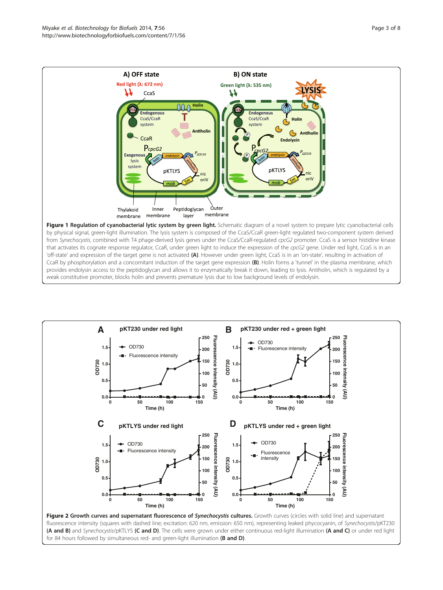<span id="page-2-0"></span>



fluorescence intensity (squares with dashed line; excitation: 620 nm, emission: 650 nm), representing leaked phycocyanin, of Synechocystis/pKT230 (A and B) and Synechocystis/pKTLYS (C and D). The cells were grown under either continuous red-light illumination (A and C) or under red light for 84 hours followed by simultaneous red- and green-light illumination (B and D).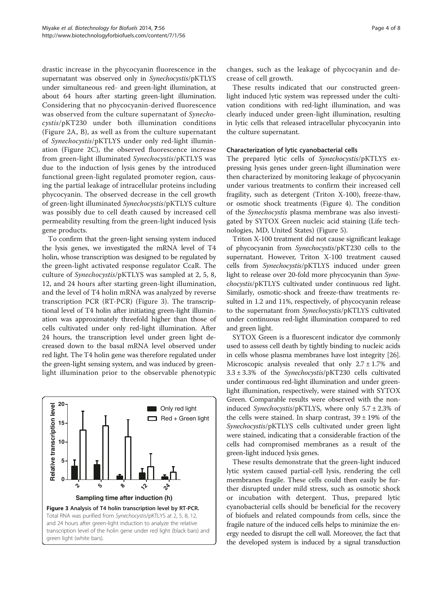drastic increase in the phycocyanin fluorescence in the supernatant was observed only in Synechocystis/pKTLYS under simultaneous red- and green-light illumination, at about 64 hours after starting green-light illumination. Considering that no phycocyanin-derived fluorescence was observed from the culture supernatant of Synechocystis/pKT230 under both illumination conditions (Figure [2](#page-2-0)A, B), as well as from the culture supernatant of Synechocystis/pKTLYS under only red-light illumination (Figure [2](#page-2-0)C), the observed fluorescence increase from green-light illuminated Synechocystis/pKTLYS was due to the induction of lysis genes by the introduced functional green-light regulated promoter region, causing the partial leakage of intracellular proteins including phycocyanin. The observed decrease in the cell growth of green-light illuminated Synechocystis/pKTLYS culture was possibly due to cell death caused by increased cell permeability resulting from the green-light induced lysis gene products.

To confirm that the green-light sensing system induced the lysis genes, we investigated the mRNA level of T4 holin, whose transcription was designed to be regulated by the green-light activated response regulator CcaR. The culture of Synechocystis/pKTLYS was sampled at 2, 5, 8, 12, and 24 hours after starting green-light illumination, and the level of T4 holin mRNA was analyzed by reverse transcription PCR (RT-PCR) (Figure 3). The transcriptional level of T4 holin after initiating green-light illumination was approximately threefold higher than those of cells cultivated under only red-light illumination. After 24 hours, the transcription level under green light decreased down to the basal mRNA level observed under red light. The T4 holin gene was therefore regulated under the green-light sensing system, and was induced by greenlight illumination prior to the observable phenotypic



changes, such as the leakage of phycocyanin and decrease of cell growth.

These results indicated that our constructed greenlight induced lytic system was repressed under the cultivation conditions with red-light illumination, and was clearly induced under green-light illumination, resulting in lytic cells that released intracellular phycocyanin into the culture supernatant.

#### Characterization of lytic cyanobacterial cells

The prepared lytic cells of Synechocystis/pKTLYS expressing lysis genes under green-light illumination were then characterized by monitoring leakage of phycocyanin under various treatments to confirm their increased cell fragility, such as detergent (Triton X-100), freeze-thaw, or osmotic shock treatments (Figure [4](#page-4-0)). The condition of the Synechocystis plasma membrane was also investigated by SYTOX Green nucleic acid staining (Life technologies, MD, United States) (Figure [5\)](#page-5-0).

Triton X-100 treatment did not cause significant leakage of phycocyanin from Synechocystis/pKT230 cells to the supernatant. However, Triton X-100 treatment caused cells from Synechocystis/pKTLYS induced under green light to release over 20-fold more phycocyanin than Synechocystis/pKTLYS cultivated under continuous red light. Similarly, osmotic-shock and freeze-thaw treatments resulted in 1.2 and 11%, respectively, of phycocyanin release to the supernatant from Synechocystis/pKTLYS cultivated under continuous red-light illumination compared to red and green light.

SYTOX Green is a fluorescent indicator dye commonly used to assess cell death by tightly binding to nucleic acids in cells whose plasma membranes have lost integrity [[26](#page-7-0)]. Microscopic analysis revealed that only  $2.7 \pm 1.7\%$  and 3.3 ± 3.3% of the Synechocystis/pKT230 cells cultivated under continuous red-light illumination and under greenlight illumination, respectively, were stained with SYTOX Green. Comparable results were observed with the noninduced Synechocystis/pKTLYS, where only  $5.7 \pm 2.3\%$  of the cells were stained. In sharp contrast,  $39 \pm 19\%$  of the Synechocystis/pKTLYS cells cultivated under green light were stained, indicating that a considerable fraction of the cells had compromised membranes as a result of the green-light induced lysis genes.

These results demonstrate that the green-light induced lytic system caused partial-cell lysis, rendering the cell membranes fragile. These cells could then easily be further disrupted under mild stress, such as osmotic shock or incubation with detergent. Thus, prepared lytic cyanobacterial cells should be beneficial for the recovery of biofuels and related compounds from cells, since the fragile nature of the induced cells helps to minimize the energy needed to disrupt the cell wall. Moreover, the fact that the developed system is induced by a signal transduction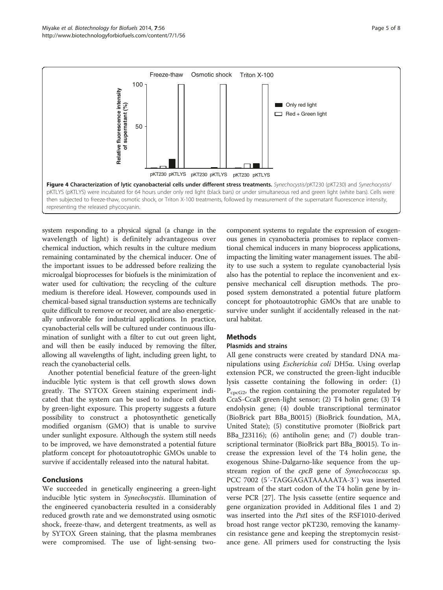<span id="page-4-0"></span>

system responding to a physical signal (a change in the wavelength of light) is definitely advantageous over chemical induction, which results in the culture medium remaining contaminated by the chemical inducer. One of the important issues to be addressed before realizing the microalgal bioprocesses for biofuels is the minimization of water used for cultivation; the recycling of the culture medium is therefore ideal. However, compounds used in chemical-based signal transduction systems are technically quite difficult to remove or recover, and are also energetically unfavorable for industrial applications. In practice, cyanobacterial cells will be cultured under continuous illumination of sunlight with a filter to cut out green light, and will then be easily induced by removing the filter, allowing all wavelengths of light, including green light, to reach the cyanobacterial cells.

Another potential beneficial feature of the green-light inducible lytic system is that cell growth slows down greatly. The SYTOX Green staining experiment indicated that the system can be used to induce cell death by green-light exposure. This property suggests a future possibility to construct a photosynthetic genetically modified organism (GMO) that is unable to survive under sunlight exposure. Although the system still needs to be improved, we have demonstrated a potential future platform concept for photoautotrophic GMOs unable to survive if accidentally released into the natural habitat.

# **Conclusions**

We succeeded in genetically engineering a green-light inducible lytic system in Synechocystis. Illumination of the engineered cyanobacteria resulted in a considerably reduced growth rate and we demonstrated using osmotic shock, freeze-thaw, and detergent treatments, as well as by SYTOX Green staining, that the plasma membranes were compromised. The use of light-sensing two-

component systems to regulate the expression of exogenous genes in cyanobacteria promises to replace conventional chemical inducers in many bioprocess applications, impacting the limiting water management issues. The ability to use such a system to regulate cyanobacterial lysis also has the potential to replace the inconvenient and expensive mechanical cell disruption methods. The proposed system demonstrated a potential future platform concept for photoautotrophic GMOs that are unable to survive under sunlight if accidentally released in the natural habitat.

# **Methods**

# Plasmids and strains

All gene constructs were created by standard DNA manipulations using Escherichia coli DH5α. Using overlap extension PCR, we constructed the green-light inducible lysis cassette containing the following in order: (1)  $P_{\text{cpcG2}}$ , the region containing the promoter regulated by CcaS-CcaR green-light sensor; (2) T4 holin gene; (3) T4 endolysin gene; (4) double transcriptional terminator (BioBrick part BBa\_B0015) (BioBrick foundation, MA, United State); (5) constitutive promoter (BioBrick part BBa\_J23116); (6) antiholin gene; and (7) double transcriptional terminator (BioBrick part BBa\_B0015). To increase the expression level of the T4 holin gene, the exogenous Shine-Dalgarno-like sequence from the upstream region of the *cpcB* gene of *Synechococcus* sp. PCC 7002 (5′-TAGGAGATAAAAATA-3′) was inserted upstream of the start codon of the T4 holin gene by inverse PCR [\[27\]](#page-7-0). The lysis cassette (entire sequence and gene organization provided in Additional files [1](#page-6-0) and [2](#page-6-0)) was inserted into the PstI sites of the RSF1010-derived broad host range vector pKT230, removing the kanamycin resistance gene and keeping the streptomycin resistance gene. All primers used for constructing the lysis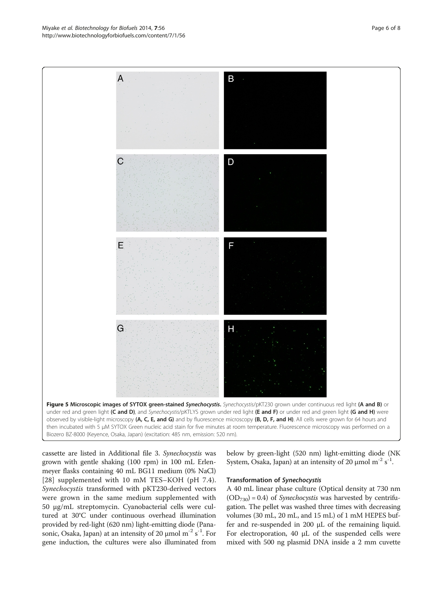<span id="page-5-0"></span>

Biozero BZ-8000 (Keyence, Osaka, Japan) (excitation: 485 nm, emission: 520 nm).

cassette are listed in Additional file [3](#page-6-0). Synechocystis was grown with gentle shaking (100 rpm) in 100 mL Erlenmeyer flasks containing 40 mL BG11 medium (0% NaCl) [[28](#page-7-0)] supplemented with 10 mM TES–KOH (pH 7.4). Synechocystis transformed with pKT230-derived vectors were grown in the same medium supplemented with 50 μg/mL streptomycin. Cyanobacterial cells were cultured at 30°C under continuous overhead illumination provided by red-light (620 nm) light-emitting diode (Panasonic, Osaka, Japan) at an intensity of 20  $\mu$ mol m<sup>-2</sup> s<sup>-1</sup>. For gene induction, the cultures were also illuminated from below by green-light (520 nm) light-emitting diode (NK System, Osaka, Japan) at an intensity of 20  $\mu$ mol m<sup>-2</sup> s<sup>-1</sup>.

# Transformation of Synechocystis

A 40 mL linear phase culture (Optical density at 730 nm  $(OD_{730}) = 0.4$ ) of Synechocystis was harvested by centrifugation. The pellet was washed three times with decreasing volumes (30 mL, 20 mL, and 15 mL) of 1 mM HEPES buffer and re-suspended in 200 μL of the remaining liquid. For electroporation, 40 μL of the suspended cells were mixed with 500 ng plasmid DNA inside a 2 mm cuvette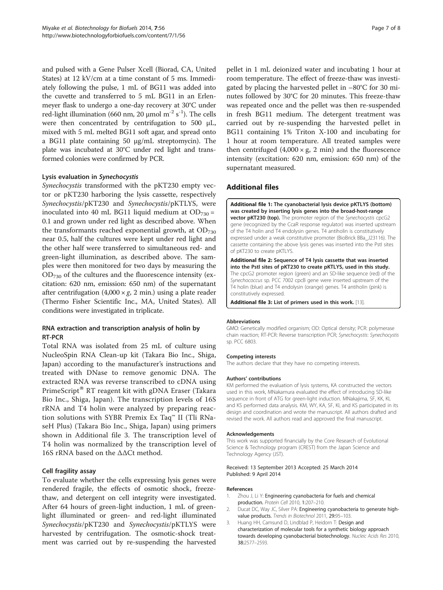<span id="page-6-0"></span>and pulsed with a Gene Pulser Xcell (Biorad, CA, United States) at 12 kV/cm at a time constant of 5 ms. Immediately following the pulse, 1 mL of BG11 was added into the cuvette and transferred to 5 mL BG11 in an Erlenmeyer flask to undergo a one-day recovery at 30°C under red-light illumination (660 nm, 20  $\mu$ mol m<sup>-2</sup> s<sup>-1</sup>). The cells were then concentrated by centrifugation to 500 μL, mixed with 5 mL melted BG11 soft agar, and spread onto a BG11 plate containing 50 μg/mL streptomycin). The plate was incubated at 30°C under red light and transformed colonies were confirmed by PCR.

#### Lysis evaluation in Synechocystis

Synechocystis transformed with the pKT230 empty vector or pKT230 harboring the lysis cassette, respectively Synechocystis/pKT230 and Synechocystis/pKTLYS, were inoculated into 40 mL BG11 liquid medium at  $OD_{730} =$ 0.1 and grown under red light as described above. When the transformants reached exponential growth, at  $OD_{730}$ near 0.5, half the cultures were kept under red light and the other half were transferred to simultaneous red- and green-light illumination, as described above. The samples were then monitored for two days by measuring the  $OD_{730}$  of the cultures and the fluorescence intensity (excitation: 620 nm, emission: 650 nm) of the supernatant after centrifugation  $(4,000 \times g, 2 \text{ min.})$  using a plate reader (Thermo Fisher Scientific Inc., MA, United States). All conditions were investigated in triplicate.

# RNA extraction and transcription analysis of holin by RT-PCR

Total RNA was isolated from 25 mL of culture using NucleoSpin RNA Clean-up kit (Takara Bio Inc., Shiga, Japan) according to the manufacturer's instructions and treated with DNase to remove genomic DNA. The extracted RNA was reverse transcribed to cDNA using PrimeScript<sup>®</sup> RT reagent kit with gDNA Eraser (Takara Bio Inc., Shiga, Japan). The transcription levels of 16S rRNA and T4 holin were analyzed by preparing reaction solutions with SYBR Premix Ex Taq™ II (Tli RNaseH Plus) (Takara Bio Inc., Shiga, Japan) using primers shown in Additional file 3. The transcription level of T4 holin was normalized by the transcription level of 16S rRNA based on the ΔΔCt method.

#### Cell fragility assay

To evaluate whether the cells expressing lysis genes were rendered fragile, the effects of osmotic shock, freezethaw, and detergent on cell integrity were investigated. After 64 hours of green-light induction, 1 mL of greenlight illuminated or green- and red-light illuminated Synechocystis/pKT230 and Synechocystis/pKTLYS were harvested by centrifugation. The osmotic-shock treatment was carried out by re-suspending the harvested pellet in 1 mL deionized water and incubating 1 hour at room temperature. The effect of freeze-thaw was investigated by placing the harvested pellet in –80°C for 30 minutes followed by 30°C for 20 minutes. This freeze-thaw was repeated once and the pellet was then re-suspended in fresh BG11 medium. The detergent treatment was carried out by re-suspending the harvested pellet in BG11 containing 1% Triton X-100 and incubating for 1 hour at room temperature. All treated samples were then centrifuged  $(4,000 \times g, 2 \text{ min})$  and the fluorescence intensity (excitation: 620 nm, emission: 650 nm) of the supernatant measured.

# Additional files

[Additional file 1:](http://www.biomedcentral.com/content/supplementary/1754-6834-7-56-S1.png) The cyanobacterial lysis device pKTLYS (bottom) was created by inserting lysis genes into the broad-host-range vector pKT230 (top). The promoter region of the Synechocystis cpcG2 gene (recognized by the CcaR response regulator) was inserted upstream of the T4 holin and T4 endolysin genes. T4 antiholin is constitutively expressed under a weak constitutive promoter (BioBrick BBa\_J23116). The cassette containing the above lysis genes was inserted into the PstI sites of pKT230 to create pKTLYS.

[Additional file 2:](http://www.biomedcentral.com/content/supplementary/1754-6834-7-56-S2.docx) Sequence of T4 lysis cassette that was inserted into the PstI sites of pKT230 to create pKTLYS, used in this study. The cpcG2 promoter region (green) and an SD-like sequence (red) of the Synechococcus sp. PCC 7002 cpcB gene were inserted upstream of the T4 holin (blue) and T4 endolysin (orange) genes. T4 antiholin (pink) is constitutively expressed.

[Additional file 3:](http://www.biomedcentral.com/content/supplementary/1754-6834-7-56-S3.docx) List of primers used in this work. [\[13](#page-7-0)].

#### **Abbreviations**

GMO: Genetically modified organism; OD: Optical density; PCR: polymerase chain reaction; RT-PCR: Reverse transcription PCR; Synechocystis: Synechocystis sp. PCC 6803.

#### Competing interests

The authors declare that they have no competing interests.

#### Authors' contributions

KM performed the evaluation of lysis systems, KA constructed the vectors used in this work, MNakamura evaluated the effect of introducing SD-like sequence in front of ATG for green-light induction. MNakajima, SF, KK, KI, and KS performed data analysis. KM, WY, KA, SF, KI, and KS participated in its design and coordination and wrote the manuscript. All authors drafted and revised the work. All authors read and approved the final manuscript.

#### Acknowledgements

This work was supported financially by the Core Research of Evolutional Science & Technology program (CREST) from the Japan Science and Technology Agency (JST).

#### Received: 13 September 2013 Accepted: 25 March 2014 Published: 9 April 2014

#### References

- 1. Zhou J, Li Y: Engineering cyanobacteria for fuels and chemical production. Protein Cell 2010, 1:207–210.
- 2. Ducat DC, Way JC, Silver PA: Engineering cyanobacteria to generate highvalue products. Trends in Biotechnol 2011, 29:95-103.
- 3. Huang HH, Camsund D, Lindblad P, Heidorn T: Design and characterization of molecular tools for a synthetic biology approach towards developing cyanobacterial biotechnology. Nucleic Acids Res 2010, 38:2577–2593.